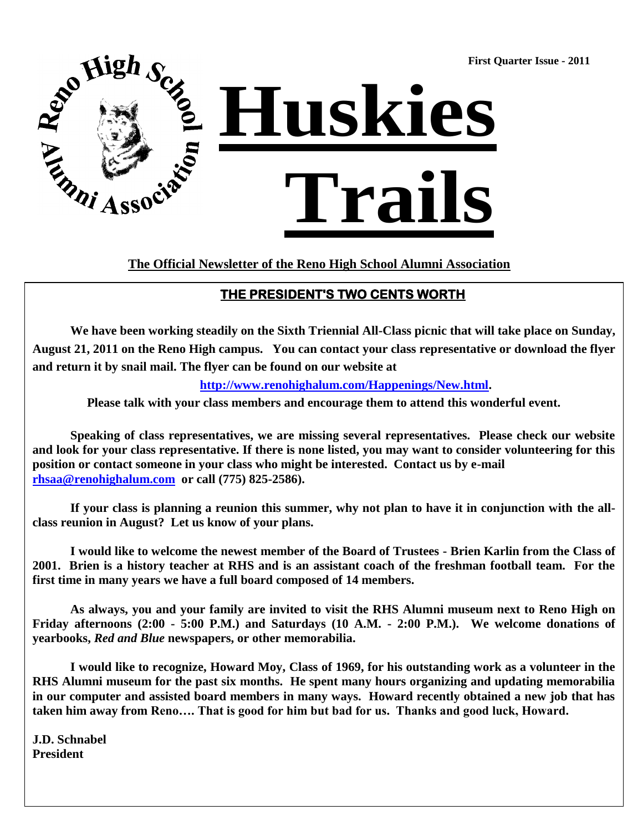**First Quarter Issue - 2011**



**The Official Newsletter of the Reno High School Alumni Association**

### **THE PRESIDENT'S TWO CENTS WORTH**

**We have been working steadily on the Sixth Triennial All-Class picnic that will take place on Sunday, August 21, 2011 on the Reno High campus. You can contact your class representative or download the flyer and return it by snail mail. The flyer can be found on our website at** 

 **http://www.renohighalum.com/Happenings/New.html.**

**Please talk with your class members and encourage them to attend this wonderful event.**

**Speaking of class representatives, we are missing several representatives. Please check our website and look for your class representative. If there is none listed, you may want to consider volunteering for this position or contact someone in your class who might be interested. Contact us by e-mai[l](mailto:rhsaa@renohighalum.com) [rhsaa@renohighalum.com](mailto:rhsaa@renohighalum.com) or call (775) 825-2586).**

**If your class is planning a reunion this summer, why not plan to have it in conjunction with the allclass reunion in August? Let us know of your plans.**

**I would like to welcome the newest member of the Board of Trustees - Brien Karlin from the Class of 2001. Brien is a history teacher at RHS and is an assistant coach of the freshman football team. For the first time in many years we have a full board composed of 14 members.**

**As always, you and your family are invited to visit the RHS Alumni museum next to Reno High on Friday afternoons (2:00 - 5:00 P.M.) and Saturdays (10 A.M. - 2:00 P.M.). We welcome donations of yearbooks,** *Red and Blue* **newspapers, or other memorabilia.**

**I would like to recognize, Howard Moy, Class of 1969, for his outstanding work as a volunteer in the RHS Alumni museum for the past six months. He spent many hours organizing and updating memorabilia in our computer and assisted board members in many ways. Howard recently obtained a new job that has taken him away from Reno…. That is good for him but bad for us. Thanks and good luck, Howard.**

**J.D. Schnabel President**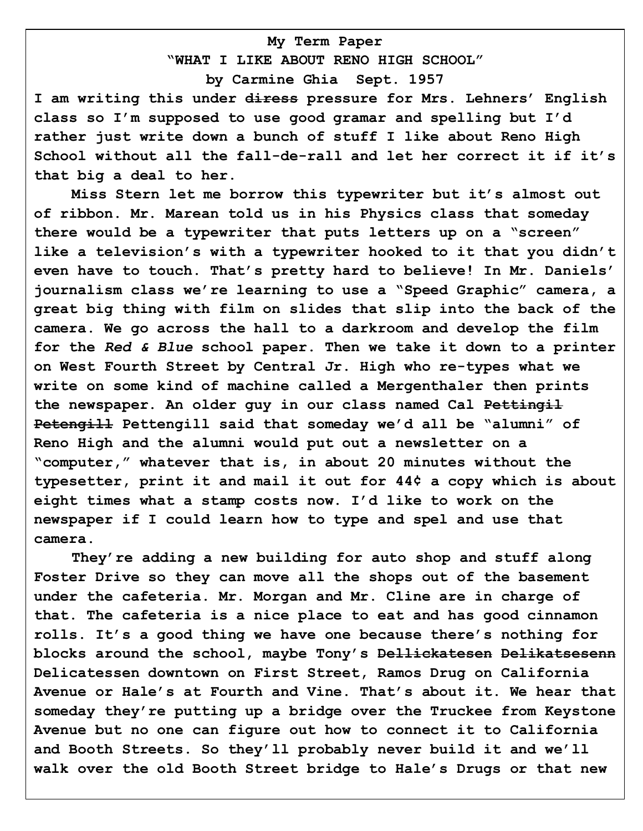# **My Term Paper "WHAT I LIKE ABOUT RENO HIGH SCHOOL"**

**by Carmine Ghia Sept. 1957**

**I am writing this under diress pressure for Mrs. Lehners" English class so I"m supposed to use good gramar and spelling but I"d rather just write down a bunch of stuff I like about Reno High School without all the fall-de-rall and let her correct it if it"s that big a deal to her.**

**Miss Stern let me borrow this typewriter but it"s almost out of ribbon. Mr. Marean told us in his Physics class that someday there would be a typewriter that puts letters up on a "screen" like a television"s with a typewriter hooked to it that you didn"t even have to touch. That"s pretty hard to believe! In Mr. Daniels" journalism class we"re learning to use a "Speed Graphic" camera, a great big thing with film on slides that slip into the back of the camera. We go across the hall to a darkroom and develop the film for the** *Red & Blue* **school paper. Then we take it down to a printer on West Fourth Street by Central Jr. High who re-types what we write on some kind of machine called a Mergenthaler then prints the newspaper. An older guy in our class named Cal Pettingil Petengill Pettengill said that someday we"d all be "alumni" of Reno High and the alumni would put out a newsletter on a "computer," whatever that is, in about 20 minutes without the typesetter, print it and mail it out for 44¢ a copy which is about eight times what a stamp costs now. I"d like to work on the newspaper if I could learn how to type and spel and use that camera.**

**They"re adding a new building for auto shop and stuff along Foster Drive so they can move all the shops out of the basement under the cafeteria. Mr. Morgan and Mr. Cline are in charge of that. The cafeteria is a nice place to eat and has good cinnamon rolls. It"s a good thing we have one because there"s nothing for blocks around the school, maybe Tony"s Dellickatesen Delikatsesenn Delicatessen downtown on First Street, Ramos Drug on California Avenue or Hale"s at Fourth and Vine. That"s about it. We hear that someday they"re putting up a bridge over the Truckee from Keystone Avenue but no one can figure out how to connect it to California and Booth Streets. So they"ll probably never build it and we"ll walk over the old Booth Street bridge to Hale"s Drugs or that new**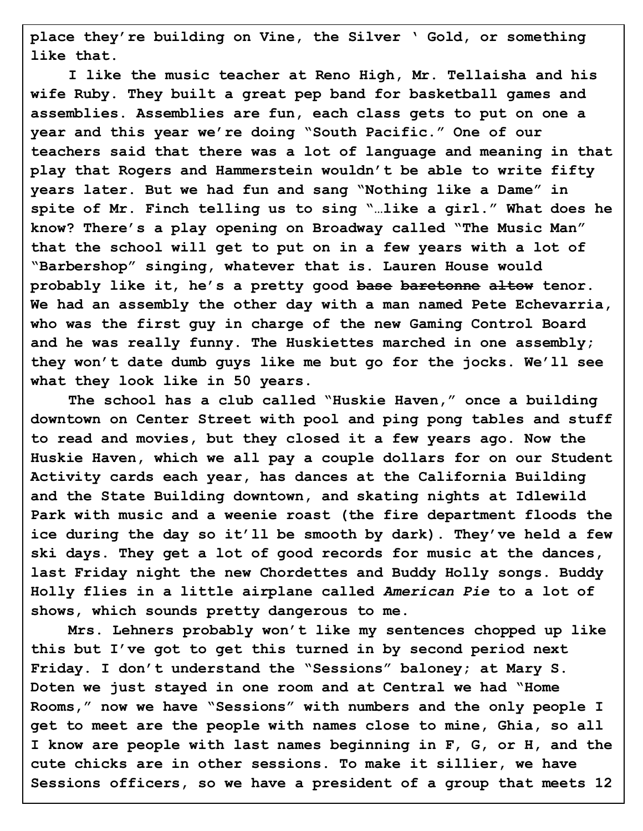**place they"re building on Vine, the Silver " Gold, or something like that.**

**I like the music teacher at Reno High, Mr. Tellaisha and his wife Ruby. They built a great pep band for basketball games and assemblies. Assemblies are fun, each class gets to put on one a year and this year we"re doing "South Pacific." One of our teachers said that there was a lot of language and meaning in that play that Rogers and Hammerstein wouldn"t be able to write fifty years later. But we had fun and sang "Nothing like a Dame" in spite of Mr. Finch telling us to sing "…like a girl." What does he know? There"s a play opening on Broadway called "The Music Man" that the school will get to put on in a few years with a lot of "Barbershop" singing, whatever that is. Lauren House would probably like it, he"s a pretty good base baretonne altow tenor. We had an assembly the other day with a man named Pete Echevarria, who was the first guy in charge of the new Gaming Control Board and he was really funny. The Huskiettes marched in one assembly; they won"t date dumb guys like me but go for the jocks. We"ll see what they look like in 50 years.**

**The school has a club called "Huskie Haven," once a building downtown on Center Street with pool and ping pong tables and stuff to read and movies, but they closed it a few years ago. Now the Huskie Haven, which we all pay a couple dollars for on our Student Activity cards each year, has dances at the California Building and the State Building downtown, and skating nights at Idlewild Park with music and a weenie roast (the fire department floods the ice during the day so it"ll be smooth by dark). They"ve held a few ski days. They get a lot of good records for music at the dances, last Friday night the new Chordettes and Buddy Holly songs. Buddy Holly flies in a little airplane called** *American Pie* **to a lot of shows, which sounds pretty dangerous to me.**

**Mrs. Lehners probably won"t like my sentences chopped up like this but I"ve got to get this turned in by second period next Friday. I don"t understand the "Sessions" baloney; at Mary S. Doten we just stayed in one room and at Central we had "Home Rooms," now we have "Sessions" with numbers and the only people I get to meet are the people with names close to mine, Ghia, so all I know are people with last names beginning in F, G, or H, and the cute chicks are in other sessions. To make it sillier, we have Sessions officers, so we have a president of a group that meets 12**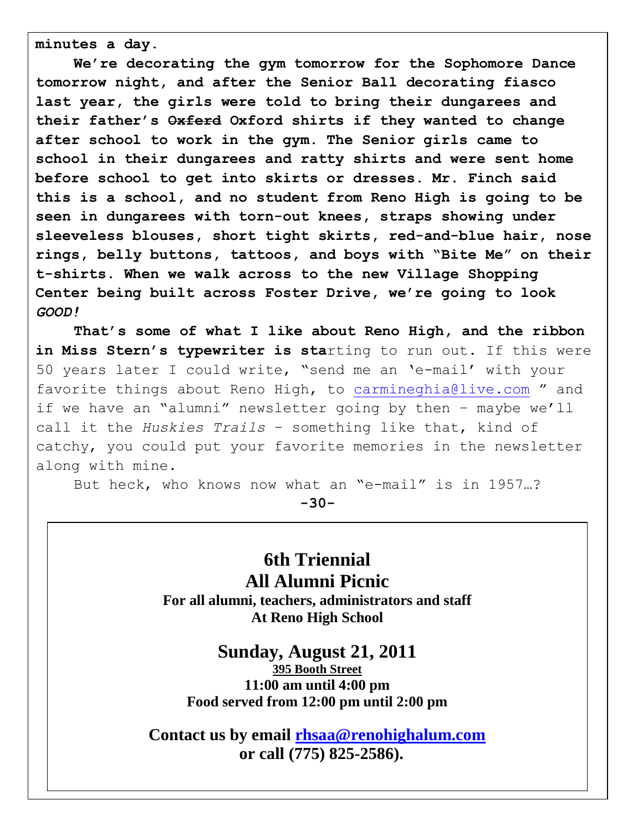**minutes a day.**

**We"re decorating the gym tomorrow for the Sophomore Dance tomorrow night, and after the Senior Ball decorating fiasco last year, the girls were told to bring their dungarees and their father"s Oxferd Oxford shirts if they wanted to change after school to work in the gym. The Senior girls came to school in their dungarees and ratty shirts and were sent home before school to get into skirts or dresses. Mr. Finch said this is a school, and no student from Reno High is going to be seen in dungarees with torn-out knees, straps showing under sleeveless blouses, short tight skirts, red-and-blue hair, nose rings, belly buttons, tattoos, and boys with "Bite Me" on their t-shirts. When we walk across to the new Village Shopping Center being built across Foster Drive, we"re going to look**  *GOOD!*

**That"s some of what I like about Reno High, and the ribbon**  in Miss Stern's typewriter is starting to run out. If this were 50 years later I could write, "send me an "e-mail" with your favorite things about Reno High, to [carmineghia@live.com](mailto:carmineghia@live.com) " and if we have an "alumni" newsletter going by then - maybe we'll call it the *Huskies Trails* – something like that, kind of catchy, you could put your favorite memories in the newsletter along with mine.

But heck, who knows now what an "e-mail" is in 1957…?

**-30-**

**6th Triennial All Alumni Picnic For all alumni, teachers, administrators and staff At Reno High School**

### **Sunday, August 21, 2011**

**395 Booth Street 11:00 am until 4:00 pm Food served from 12:00 pm until 2:00 pm**

**Contact us by email [rhsaa@renohighalum.com](mailto:rhsaa@renohighalum.com) or call (775) 825-2586).**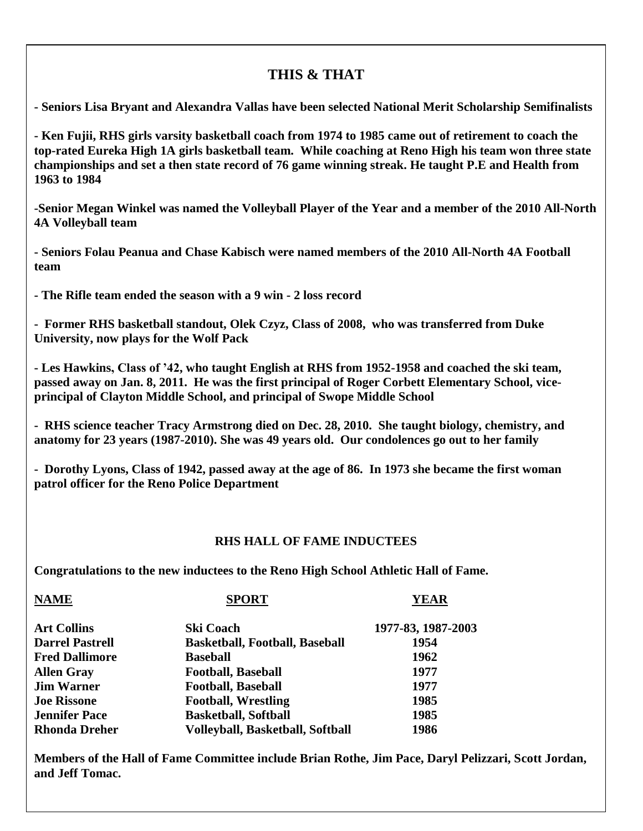## **THIS & THAT**

**- Seniors Lisa Bryant and Alexandra Vallas have been selected National Merit Scholarship Semifinalists**

**- Ken Fujii, RHS girls varsity basketball coach from 1974 to 1985 came out of retirement to coach the top-rated Eureka High 1A girls basketball team. While coaching at Reno High his team won three state championships and set a then state record of 76 game winning streak. He taught P.E and Health from 1963 to 1984**

**-Senior Megan Winkel was named the Volleyball Player of the Year and a member of the 2010 All-North 4A Volleyball team**

**- Seniors Folau Peanua and Chase Kabisch were named members of the 2010 All-North 4A Football team**

**- The Rifle team ended the season with a 9 win - 2 loss record**

**- Former RHS basketball standout, Olek Czyz, Class of 2008, who was transferred from Duke University, now plays for the Wolf Pack**

**- Les Hawkins, Class of '42, who taught English at RHS from 1952-1958 and coached the ski team, passed away on Jan. 8, 2011. He was the first principal of Roger Corbett Elementary School, viceprincipal of Clayton Middle School, and principal of Swope Middle School**

**- RHS science teacher Tracy Armstrong died on Dec. 28, 2010. She taught biology, chemistry, and anatomy for 23 years (1987-2010). She was 49 years old. Our condolences go out to her family**

**- Dorothy Lyons, Class of 1942, passed away at the age of 86. In 1973 she became the first woman patrol officer for the Reno Police Department**

#### **RHS HALL OF FAME INDUCTEES**

**Congratulations to the new inductees to the Reno High School Athletic Hall of Fame.** 

| <b>NAME</b>            | <b>SPORT</b>                            | <b>YEAR</b>        |
|------------------------|-----------------------------------------|--------------------|
| <b>Art Collins</b>     | <b>Ski Coach</b>                        | 1977-83, 1987-2003 |
| <b>Darrel Pastrell</b> | <b>Basketball, Football, Baseball</b>   | 1954               |
| <b>Fred Dallimore</b>  | <b>Baseball</b>                         | 1962               |
| <b>Allen Gray</b>      | <b>Football, Baseball</b>               | 1977               |
| <b>Jim Warner</b>      | <b>Football, Baseball</b>               | 1977               |
| <b>Joe Rissone</b>     | <b>Football, Wrestling</b>              | 1985               |
| <b>Jennifer Pace</b>   | <b>Basketball, Softball</b>             | 1985               |
| <b>Rhonda Dreher</b>   | <b>Volleyball, Basketball, Softball</b> | 1986               |

**Members of the Hall of Fame Committee include Brian Rothe, Jim Pace, Daryl Pelizzari, Scott Jordan, and Jeff Tomac.**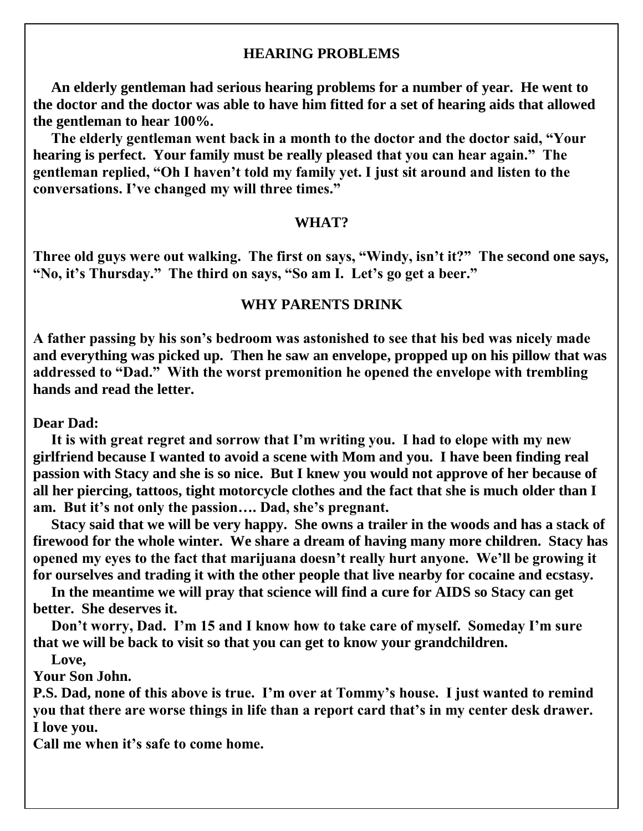### **HEARING PROBLEMS**

 **An elderly gentleman had serious hearing problems for a number of year. He went to the doctor and the doctor was able to have him fitted for a set of hearing aids that allowed the gentleman to hear 100%.**

 **The elderly gentleman went back in a month to the doctor and the doctor said, "Your hearing is perfect. Your family must be really pleased that you can hear again." The gentleman replied, "Oh I haven't told my family yet. I just sit around and listen to the conversations. I've changed my will three times."**

#### **WHAT?**

**Three old guys were out walking. The first on says, "Windy, isn't it?" The second one says, "No, it's Thursday." The third on says, "So am I. Let's go get a beer."**

### **WHY PARENTS DRINK**

**A father passing by his son's bedroom was astonished to see that his bed was nicely made and everything was picked up. Then he saw an envelope, propped up on his pillow that was addressed to "Dad." With the worst premonition he opened the envelope with trembling hands and read the letter.**

**Dear Dad:**

 **It is with great regret and sorrow that I'm writing you. I had to elope with my new girlfriend because I wanted to avoid a scene with Mom and you. I have been finding real passion with Stacy and she is so nice. But I knew you would not approve of her because of all her piercing, tattoos, tight motorcycle clothes and the fact that she is much older than I am. But it's not only the passion…. Dad, she's pregnant.**

 **Stacy said that we will be very happy. She owns a trailer in the woods and has a stack of firewood for the whole winter. We share a dream of having many more children. Stacy has opened my eyes to the fact that marijuana doesn't really hurt anyone. We'll be growing it for ourselves and trading it with the other people that live nearby for cocaine and ecstasy.**

 **In the meantime we will pray that science will find a cure for AIDS so Stacy can get better. She deserves it.**

 **Don't worry, Dad. I'm 15 and I know how to take care of myself. Someday I'm sure that we will be back to visit so that you can get to know your grandchildren.**

 **Love,**

**Your Son John.**

**P.S. Dad, none of this above is true. I'm over at Tommy's house. I just wanted to remind you that there are worse things in life than a report card that's in my center desk drawer. I love you.**

**Call me when it's safe to come home.**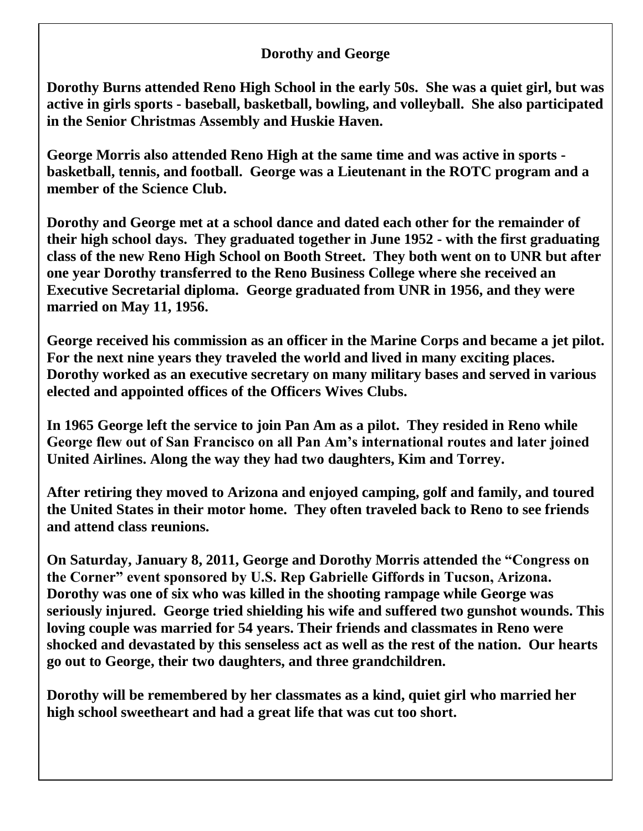### **Dorothy and George**

**Dorothy Burns attended Reno High School in the early 50s. She was a quiet girl, but was active in girls sports - baseball, basketball, bowling, and volleyball. She also participated in the Senior Christmas Assembly and Huskie Haven.**

**George Morris also attended Reno High at the same time and was active in sports basketball, tennis, and football. George was a Lieutenant in the ROTC program and a member of the Science Club.**

**Dorothy and George met at a school dance and dated each other for the remainder of their high school days. They graduated together in June 1952 - with the first graduating class of the new Reno High School on Booth Street. They both went on to UNR but after one year Dorothy transferred to the Reno Business College where she received an Executive Secretarial diploma. George graduated from UNR in 1956, and they were married on May 11, 1956.**

**George received his commission as an officer in the Marine Corps and became a jet pilot. For the next nine years they traveled the world and lived in many exciting places. Dorothy worked as an executive secretary on many military bases and served in various elected and appointed offices of the Officers Wives Clubs.** 

**In 1965 George left the service to join Pan Am as a pilot. They resided in Reno while George flew out of San Francisco on all Pan Am's international routes and later joined United Airlines. Along the way they had two daughters, Kim and Torrey.**

**After retiring they moved to Arizona and enjoyed camping, golf and family, and toured the United States in their motor home. They often traveled back to Reno to see friends and attend class reunions.**

**On Saturday, January 8, 2011, George and Dorothy Morris attended the "Congress on the Corner" event sponsored by U.S. Rep Gabrielle Giffords in Tucson, Arizona. Dorothy was one of six who was killed in the shooting rampage while George was seriously injured. George tried shielding his wife and suffered two gunshot wounds. This loving couple was married for 54 years. Their friends and classmates in Reno were shocked and devastated by this senseless act as well as the rest of the nation. Our hearts go out to George, their two daughters, and three grandchildren.** 

**Dorothy will be remembered by her classmates as a kind, quiet girl who married her high school sweetheart and had a great life that was cut too short.**